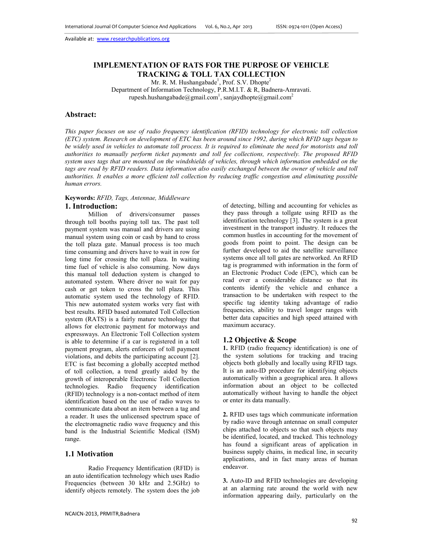# **IMPLEMENTATION OF RATS FOR THE PURPOSE OF VEHICLE TRACKING & TOLL TAX COLLECTION**

Mr. R. M. Hushangabade<sup>1</sup>, Prof. S.V. Dhopte<sup>2</sup>

Department of Information Technology, P.R.M.I.T. & R, Badnera-Amravati. rupesh.hushangabade@gmail.com<sup>1</sup>, sanjaydhopte@gmail.com<sup>2</sup>

### **Abstract:**

*This paper focuses on use of radio frequency identification (RFID) technology for electronic toll collection (ETC) system. Research on development of ETC has been around since 1992, during which RFID tags began to*  be widely used in vehicles to automate toll process. It is required to eliminate the need for motorists and toll *authorities to manually perform ticket payments and toll fee collections, respectively. The proposed RFID system uses tags that are mounted on the windshields of vehicles, through which information embedded on the*  tags are read by RFID readers. Data information also easily exchanged between the owner of vehicle and toll *authorities. It enables a more efficient toll collection by reducing traffic congestion and eliminating possible human errors.* 

### **Keywords:** *RFID, Tags, Antennae, Middleware* **1. Introduction:**

Million of drivers/consumer passes through toll booths paying toll tax. The past toll payment system was manual and drivers are using manual system using coin or cash by hand to cross the toll plaza gate. Manual process is too much time consuming and drivers have to wait in row for long time for crossing the toll plaza. In waiting time fuel of vehicle is also consuming. Now days this manual toll deduction system is changed to automated system. Where driver no wait for pay cash or get token to cross the toll plaza. This automatic system used the technology of RFID. This new automated system works very fast with best results. RFID based automated Toll Collection system (RATS) is a fairly mature technology that allows for electronic payment for motorways and expressways. An Electronic Toll Collection system is able to determine if a car is registered in a toll payment program, alerts enforcers of toll payment violations, and debits the participating account [2]. ETC is fast becoming a globally accepted method of toll collection, a trend greatly aided by the growth of interoperable Electronic Toll Collection technologies. Radio frequency identification (RFID) technology is a non-contact method of item identification based on the use of radio waves to communicate data about an item between a tag and a reader. It uses the unlicensed spectrum space of the electromagnetic radio wave frequency and this band is the Industrial Scientific Medical (ISM) range.

### **1.1 Motivation**

 Radio Frequency Identification (RFID) is an auto identification technology which uses Radio Frequencies (between 30 kHz and 2.5GHz) to identify objects remotely. The system does the job

of detecting, billing and accounting for vehicles as they pass through a tollgate using RFID as the identification technology [3]. The system is a great investment in the transport industry. It reduces the common hustles in accounting for the movement of goods from point to point. The design can be further developed to aid the satellite surveillance systems once all toll gates are networked. An RFID tag is programmed with information in the form of an Electronic Product Code (EPC), which can be read over a considerable distance so that its contents identify the vehicle and enhance a transaction to be undertaken with respect to the specific tag identity taking advantage of radio frequencies, ability to travel longer ranges with better data capacities and high speed attained with maximum accuracy.

#### **1.2 Objective & Scope**

**1.** RFID (radio frequency identification) is one of the system solutions for tracking and tracing objects both globally and locally using RFID tags. It is an auto-ID procedure for identifying objects automatically within a geographical area. It allows information about an object to be collected automatically without having to handle the object or enter its data manually.

**2.** RFID uses tags which communicate information by radio wave through antennae on small computer chips attached to objects so that such objects may be identified, located, and tracked. This technology has found a significant areas of application in business supply chains, in medical line, in security applications, and in fact many areas of human endeavor.

**3.** Auto-ID and RFID technologies are developing at an alarming rate around the world with new information appearing daily, particularly on the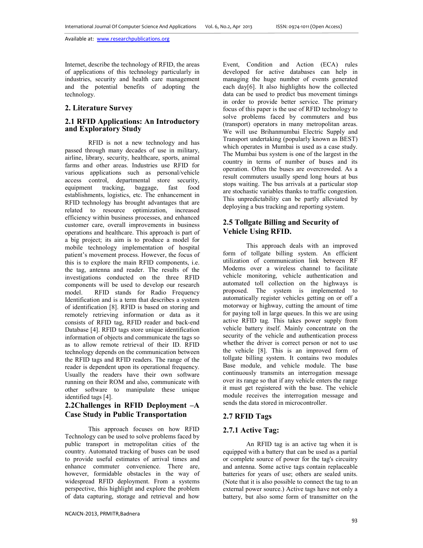Internet, describe the technology of RFID, the areas of applications of this technology particularly in industries, security and health care management and the potential benefits of adopting the technology.

### **2. Literature Survey**

## **2.1 RFID Applications: An Introductory and Exploratory Study**

RFID is not a new technology and has passed through many decades of use in military, airline, library, security, healthcare, sports, animal farms and other areas. Industries use RFID for various applications such as personal/vehicle access control, departmental store security, equipment tracking, baggage, fast food establishments, logistics, etc. The enhancement in RFID technology has brought advantages that are related to resource optimization, increased efficiency within business processes, and enhanced customer care, overall improvements in business operations and healthcare. This approach is part of a big project; its aim is to produce a model for mobile technology implementation of hospital patient's movement process. However, the focus of this is to explore the main RFID components, i.e. the tag, antenna and reader. The results of the investigations conducted on the three RFID components will be used to develop our research model. RFID stands for Radio Frequency Identification and is a term that describes a system of identification [8]. RFID is based on storing and remotely retrieving information or data as it consists of RFID tag, RFID reader and back-end Database [4]. RFID tags store unique identification information of objects and communicate the tags so as to allow remote retrieval of their ID. RFID technology depends on the communication between the RFID tags and RFID readers. The range of the reader is dependent upon its operational frequency. Usually the readers have their own software running on their ROM and also, communicate with other software to manipulate these unique identified tags [4].

# **2.2Challenges in RFID Deployment –A Case Study in Public Transportation**

This approach focuses on how RFID Technology can be used to solve problems faced by public transport in metropolitan cities of the country. Automated tracking of buses can be used to provide useful estimates of arrival times and enhance commuter convenience. There are, however, formidable obstacles in the way of widespread RFID deployment. From a systems perspective, this highlight and explore the problem of data capturing, storage and retrieval and how

Event, Condition and Action (ECA) rules developed for active databases can help in managing the huge number of events generated each day[6]. It also highlights how the collected data can be used to predict bus movement timings in order to provide better service. The primary focus of this paper is the use of RFID technology to solve problems faced by commuters and bus (transport) operators in many metropolitan areas. We will use Brihanmumbai Electric Supply and Transport undertaking (popularly known as BEST) which operates in Mumbai is used as a case study. The Mumbai bus system is one of the largest in the country in terms of number of buses and its operation. Often the buses are overcrowded. As a result commuters usually spend long hours at bus stops waiting. The bus arrivals at a particular stop are stochastic variables thanks to traffic congestion. This unpredictability can be partly alleviated by deploying a bus tracking and reporting system.

# **2.5 Tollgate Billing and Security of Vehicle Using RFID.**

This approach deals with an improved form of tollgate billing system. An efficient utilization of communication link between RF Modems over a wireless channel to facilitate vehicle monitoring, vehicle authentication and automated toll collection on the highways is proposed. The system is implemented to automatically register vehicles getting on or off a motorway or highway, cutting the amount of time for paying toll in large queues. In this we are using active RFID tag. This takes power supply from vehicle battery itself. Mainly concentrate on the security of the vehicle and authentication process whether the driver is correct person or not to use the vehicle [8]. This is an improved form of tollgate billing system. It contains two modules Base module, and vehicle module. The base continuously transmits an interrogation message over its range so that if any vehicle enters the range it must get registered with the base. The vehicle module receives the interrogation message and sends the data stored in microcontroller.

## **2.7 RFID Tags**

# **2.7.1 Active Tag:**

An RFID tag is an active tag when it is equipped with a battery that can be used as a partial or complete source of power for the tag's circuitry and antenna. Some active tags contain replaceable batteries for years of use; others are sealed units. (Note that it is also possible to connect the tag to an external power source.) Active tags have not only a battery, but also some form of transmitter on the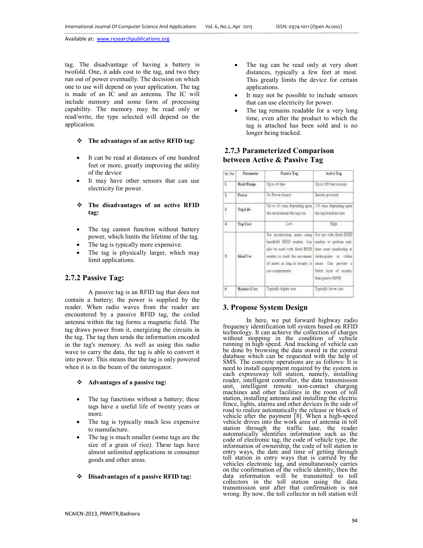tag. The disadvantage of having a battery is twofold. One, it adds cost to the tag, and two they run out of power eventually. The decision on which one to use will depend on your application. The tag is made of an IC and an antenna. The IC will include memory and some form of processing capability. The memory may be read only or read/write, the type selected will depend on the application.

#### **The advantages of an active RFID tag:**

- It can be read at distances of one hundred feet or more, greatly improving the utility of the device
- It may have other sensors that can use electricity for power.
- **The disadvantages of an active RFID tag:**
- The tag cannot function without battery power, which limits the lifetime of the tag.
- The tag is typically more expensive.
- The tag is physically larger, which may limit applications.

## **2.7.2 Passive Tag:**

A passive tag is an RFID tag that does not contain a battery; the power is supplied by the reader. When radio waves from the reader are encountered by a passive RFID tag, the coiled antenna within the tag forms a magnetic field. The tag draws power from it, energizing the circuits in the tag. The tag then sends the information encoded in the tag's memory. As well as using this radio wave to carry the data, the tag is able to convert it into power. This means that the tag is only powered when it is in the beam of the interrogator.

#### **Advantages of a passive tag:**

- The tag functions without a battery; these tags have a useful life of twenty years or more.
- The tag is typically much less expensive to manufacture.
- The tag is much smaller (some tags are the size of a grain of rice). These tags have almost unlimited applications in consumer goods and other areas.
- **Disadvantages of a passive RFID tag:**
- The tag can be read only at very short distances, typically a few feet at most. This greatly limits the device for certain applications.
- It may not be possible to include sensors that can use electricity for power.
- The tag remains readable for a very long time, even after the product to which the tag is attached has been sold and is no longer being tracked.

# **2.7.3 Parameterized Comparison between Active & Passive Tag**

| 86.34      | <b>Гатание</b>     | Paulin Tag                                                                                                                                                                                                               | Autre Tag                                                                                                                   |
|------------|--------------------|--------------------------------------------------------------------------------------------------------------------------------------------------------------------------------------------------------------------------|-----------------------------------------------------------------------------------------------------------------------------|
| 1.         | Road Mange         | Moto 48 fue:                                                                                                                                                                                                             | Up to 100 feet or more                                                                                                      |
| Ŧ          | Freer.             | No Power houser                                                                                                                                                                                                          | fieter printe                                                                                                               |
| ð,         | Tag Life           | Up to 10 years depending apon<br>the exclorers on the tag le in-                                                                                                                                                         | 3-1 your depending nam.<br>the rag breadcast rate                                                                           |
| x          | Tag Cast           | Law                                                                                                                                                                                                                      | High -                                                                                                                      |
| o Pr<br>s. | <b>Multur</b>      | Ice Assessmeng mosts sing; for me with ford REID<br>lumbed AEID resten Can<br>also be used with fixed RFID<br>midst to tradi for excessed close-point in vitkin<br>of assett at long as uscales is I<br>ant according on | readers to perform coal-<br>than tour persioning at<br>Joset, Cap postdy a<br>bein lave of seathy<br>thus, panely of F.FTD. |
| ×          | <b>Rishiri Cur</b> | rejoidy higher cost                                                                                                                                                                                                      | lypiotify lower case.                                                                                                       |
|            |                    |                                                                                                                                                                                                                          |                                                                                                                             |

## **3. Propose System Design**

In here, we put forward highway radio frequency identification toll system based on RFID technology. It can achieve the collection of charges without stopping in the condition of vehicle running in high speed. And tracking of vehicle can be done by browsing the data stored in the central database which can be requested with the help of SMS. The concrete operations are as follows: It is need to install equipment required by the system in each expressway toll station, namely, installing reader, intelligent controller, the data transmission unit, intelligent remote non-contact charging machines and other facilities in the room of toll station, installing antenna and installing the electric fence, lights, alarms and other devices in the side of road to realize automatically the release or block of vehicle after the payment [8]. When a high-speed vehicle drives into the work area of antenna in toll station through the traffic lane, the reader automatically identifies information such as the code of electronic tag, the code of vehicle type, the information of ownership, the code of toll station in entry ways, the date and time of getting through toll station in entry ways that is carried by the vehicles electronic tag, and simultaneously carries on the confirmation of the vehicle identity, then the data information will be transmitted to toll collectors in the toll station using the data transmission unit after that confirmation is not wrong. By now, the toll collector in toll station will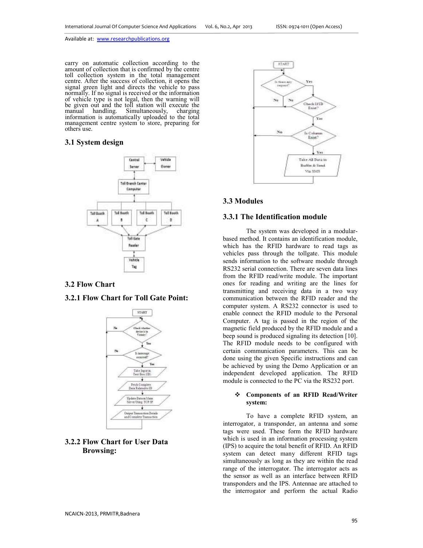carry on automatic collection according to the amount of collection that is confirmed by the centre toll collection system in the total management centre. After the success of collection, it opens the signal green light and directs the vehicle to pass normally. If no signal is received or the information of vehicle type is not legal, then the warning will be given out and the toll station will execute the manual handling. Simultaneously, charging manual handling. Simultaneously, information is automatically uploaded to the total management centre system to store, preparing for others use.

### **3.1 System design**



### **3.2 Flow Chart**

### **3.2.1 Flow Chart for Toll Gate Point:**



# **3.2.2 Flow Chart for User Data Browsing:**



## **3.3 Modules**

### **3.3.1 The Identification module**

The system was developed in a modularbased method. It contains an identification module, which has the RFID hardware to read tags as vehicles pass through the tollgate. This module sends information to the software module through RS232 serial connection. There are seven data lines from the RFID read/write module. The important ones for reading and writing are the lines for transmitting and receiving data in a two way communication between the RFID reader and the computer system. A RS232 connector is used to enable connect the RFID module to the Personal Computer. A tag is passed in the region of the magnetic field produced by the RFID module and a beep sound is produced signaling its detection [10]. The RFID module needs to be configured with certain communication parameters. This can be done using the given Specific instructions and can be achieved by using the Demo Application or an independent developed application. The RFID module is connected to the PC via the RS232 port.

#### **Components of an RFID Read/Writer system:**

To have a complete RFID system, an interrogator, a transponder, an antenna and some tags were used. These form the RFID hardware which is used in an information processing system (IPS) to acquire the total benefit of RFID. An RFID system can detect many different RFID tags simultaneously as long as they are within the read range of the interrogator. The interrogator acts as the sensor as well as an interface between RFID transponders and the IPS. Antennae are attached to the interrogator and perform the actual Radio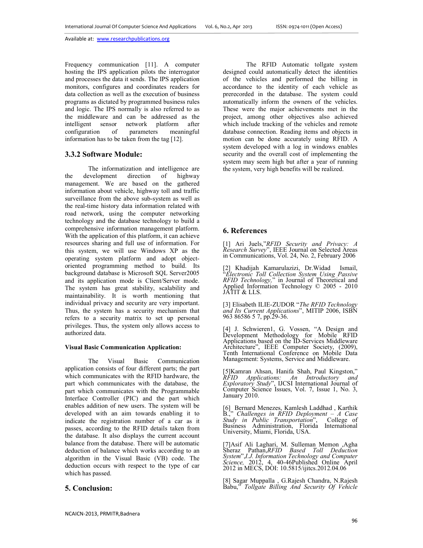Frequency communication [11]. A computer hosting the IPS application pilots the interrogator and processes the data it sends. The IPS application monitors, configures and coordinates readers for data collection as well as the execution of business programs as dictated by programmed business rules and logic. The IPS normally is also referred to as the middleware and can be addressed as the intelligent sensor network platform after configuration of parameters meaningful information has to be taken from the tag [12].

### **3.3.2 Software Module:**

The informatization and intelligence are<br>evelopment direction of highway the development management. We are based on the gathered information about vehicle, highway toll and traffic surveillance from the above sub-system as well as the real-time history data information related with road network, using the computer networking technology and the database technology to build a comprehensive information management platform. With the application of this platform, it can achieve resources sharing and full use of information. For this system, we will use Windows XP as the operating system platform and adopt objectoriented programming method to build. Its background database is Microsoft SQL Server2005 and its application mode is Client/Server mode. The system has great stability, scalability and maintainability. It is worth mentioning that individual privacy and security are very important. Thus, the system has a security mechanism that refers to a security matrix to set up personal privileges. Thus, the system only allows access to authorized data.

#### **Visual Basic Communication Application:**

The Visual Basic Communication application consists of four different parts; the part which communicates with the RFID hardware, the part which communicates with the database, the part which communicates with the Programmable Interface Controller (PIC) and the part which enables addition of new users. The system will be developed with an aim towards enabling it to indicate the registration number of a car as it passes, according to the RFID details taken from the database. It also displays the current account balance from the database. There will be automatic deduction of balance which works according to an algorithm in the Visual Basic (VB) code. The deduction occurs with respect to the type of car which has passed.

### **5. Conclusion:**

 The RFID Automatic tollgate system designed could automatically detect the identities of the vehicles and performed the billing in accordance to the identity of each vehicle as prerecorded in the database. The system could automatically inform the owners of the vehicles. These were the major achievements met in the project, among other objectives also achieved which include tracking of the vehicles and remote database connection. Reading items and objects in motion can be done accurately using RFID. A system developed with a log in windows enables security and the overall cost of implementing the system may seem high but after a year of running the system, very high benefits will be realized.

### **6. References**

[1] Ari Juels,"*RFID Security and Privacy: A Research Survey*", IEEE Journal on Selected Areas in Communications, Vol. 24, No. 2, February 2006

[2] Khadijah Kamarulazizi, Dr.Widad Ismail, "*Electronic Toll Collection System Using Passive RFID Technology,*" in Journal of Theoretical and Applied Information Technology © 2005 - 2010 JATIT & LLS.

[3] Elisabeth ILIE-ZUDOR "*The RFID Technology and Its Current Applications*", MITIP 2006, ISBN 963 86586 5 7, pp.29-36.

[4] J. Schwieren1, G. Vossen, "A Design and Development Methodology for Mobile RFID Applications based on the ID-Services Middleware Architecture", IEEE Computer Society, (2009), Tenth International Conference on Mobile Data Management: Systems, Service and Middleware.

[5]Kamran Ahsan, Hanifa Shah, Paul Kingston," *RFID Applications: An Introductory and Exploratory Study*", IJCSI International Journal of Computer Science Issues, Vol. 7, Issue 1, No. 3, January 2010.

[6] Bernard Menezes, Kamlesh Laddhad , Karthik B.," *Challenges in RFID Deployment – A Case Study in Public Transportation*", College of Business Administration, Florida International University, Miami, Florida, USA.

[7]Asif Ali Laghari, M. Sulleman Memon ,Agha Sheraz Pathan,*RFID Based Toll Deduction System*",*I.J. Information Technology and Computer Science,* 2012, 4, 40-46Published Online April 2012 in MECS, DOI: 10.5815/ijitcs.2012.04.06

[8] Sagar Muppalla , G.Rajesh Chandra, N.Rajesh Babu," *Tollgate Billing And Security Of Vehicle*